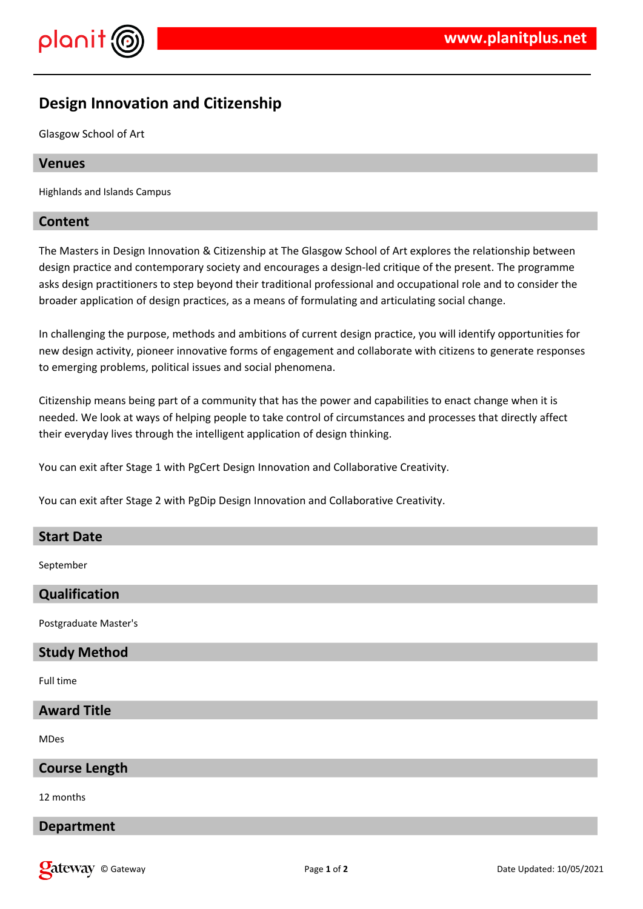



# **Design Innovation and Citizenship**

Glasgow School of Art

## **Venues**

Highlands and Islands Campus

## **Content**

The Masters in Design Innovation & Citizenship at The Glasgow School of Art explores the relationship between design practice and contemporary society and encourages a design-led critique of the present. The programme asks design practitioners to step beyond their traditional professional and occupational role and to consider the broader application of design practices, as a means of formulating and articulating social change.

In challenging the purpose, methods and ambitions of current design practice, you will identify opportunities for new design activity, pioneer innovative forms of engagement and collaborate with citizens to generate responses to emerging problems, political issues and social phenomena.

Citizenship means being part of a community that has the power and capabilities to enact change when it is needed. We look at ways of helping people to take control of circumstances and processes that directly affect their everyday lives through the intelligent application of design thinking.

You can exit after Stage 1 with PgCert Design Innovation and Collaborative Creativity.

You can exit after Stage 2 with PgDip Design Innovation and Collaborative Creativity.

#### **Start Date**

September

#### **Qualification**

Postgraduate Master's

#### **Study Method**

Full time

# **Award Title**

MDes

# **Course Length**

12 months

#### **Department**